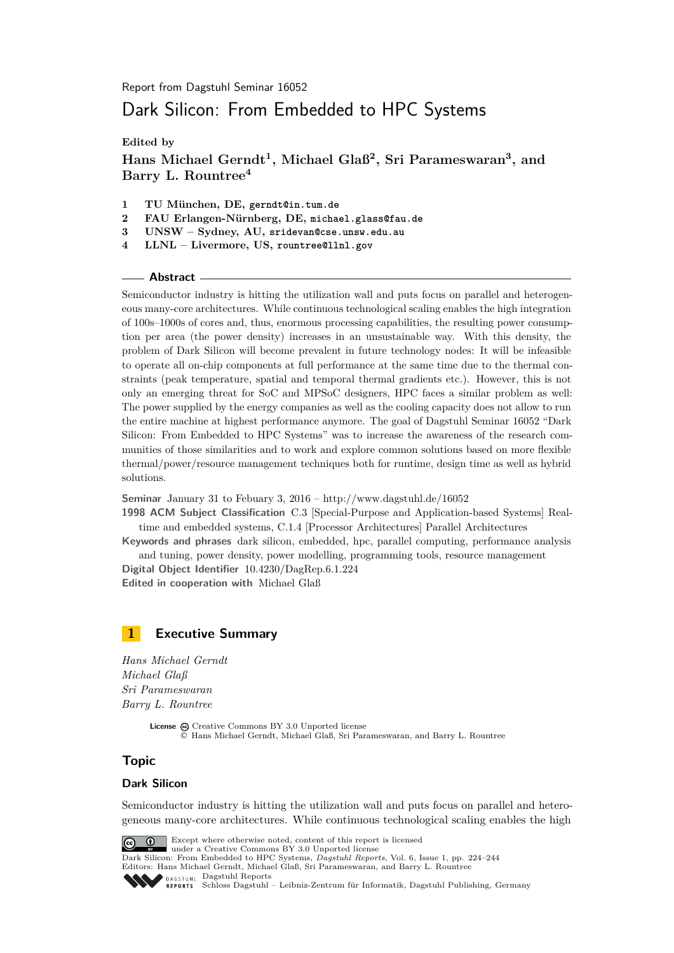Report from Dagstuhl Seminar 16052

# Dark Silicon: From Embedded to HPC Systems

**Edited by**

**Hans Michael Gerndt<sup>1</sup> , Michael Glaß<sup>2</sup> , Sri Parameswaran<sup>3</sup> , and Barry L. Rountree<sup>4</sup>**

- **1 TU München, DE, gerndt@in.tum.de**
- **2 FAU Erlangen-Nürnberg, DE, michael.glass@fau.de**
- **3 UNSW Sydney, AU, sridevan@cse.unsw.edu.au**
- **4 LLNL Livermore, US, rountree@llnl.gov**

#### **Abstract**

Semiconductor industry is hitting the utilization wall and puts focus on parallel and heterogeneous many-core architectures. While continuous technological scaling enables the high integration of 100s–1000s of cores and, thus, enormous processing capabilities, the resulting power consumption per area (the power density) increases in an unsustainable way. With this density, the problem of Dark Silicon will become prevalent in future technology nodes: It will be infeasible to operate all on-chip components at full performance at the same time due to the thermal constraints (peak temperature, spatial and temporal thermal gradients etc.). However, this is not only an emerging threat for SoC and MPSoC designers, HPC faces a similar problem as well: The power supplied by the energy companies as well as the cooling capacity does not allow to run the entire machine at highest performance anymore. The goal of Dagstuhl Seminar 16052 "Dark Silicon: From Embedded to HPC Systems" was to increase the awareness of the research communities of those similarities and to work and explore common solutions based on more flexible thermal/power/resource management techniques both for runtime, design time as well as hybrid solutions.

**Seminar** January 31 to Febuary 3, 2016 –<http://www.dagstuhl.de/16052>

**1998 ACM Subject Classification** C.3 [Special-Purpose and Application-based Systems] Realtime and embedded systems, C.1.4 [Processor Architectures] Parallel Architectures

**Keywords and phrases** dark silicon, embedded, hpc, parallel computing, performance analysis and tuning, power density, power modelling, programming tools, resource management

**Digital Object Identifier** [10.4230/DagRep.6.1.224](http://dx.doi.org/10.4230/DagRep.6.1.224) **Edited in cooperation with** Michael Glaß

### <span id="page-0-0"></span>**1 Executive Summary**

*Hans Michael Gerndt Michael Glaß Sri Parameswaran Barry L. Rountree*

> License  $\textcircled{c}$  [Creative Commons BY 3.0 Unported](http://creativecommons.org/licenses/by/3.0/) license © [Hans Michael Gerndt, Michael Glaß, Sri Parameswaran, and Barry L. Rountree](#page-0-0)

### **Topic**

#### **Dark Silicon**

Semiconductor industry is hitting the utilization wall and puts focus on parallel and heterogeneous many-core architectures. While continuous technological scaling enables the high

Except where otherwise noted, content of this report is licensed  $\boxed{6}$   $\boxed{0}$ under a [Creative Commons BY 3.0 Unported](http://creativecommons.org/licenses/by/3.0/) license

Dark Silicon: From Embedded to HPC Systems, *Dagstuhl Reports*, Vol. 6, Issue 1, pp. 224[–244](#page-20-0) Editors: Hans Michael Gerndt, Michael Glaß, Sri Parameswaran, and Barry L. Rountree **DAGSTUHL [Dagstuhl Reports](http://www.dagstuhl.de/dagstuhl-reports/)** [Schloss Dagstuhl – Leibniz-Zentrum für Informatik, Dagstuhl Publishing, Germany](http://www.dagstuhl.de)REPORTS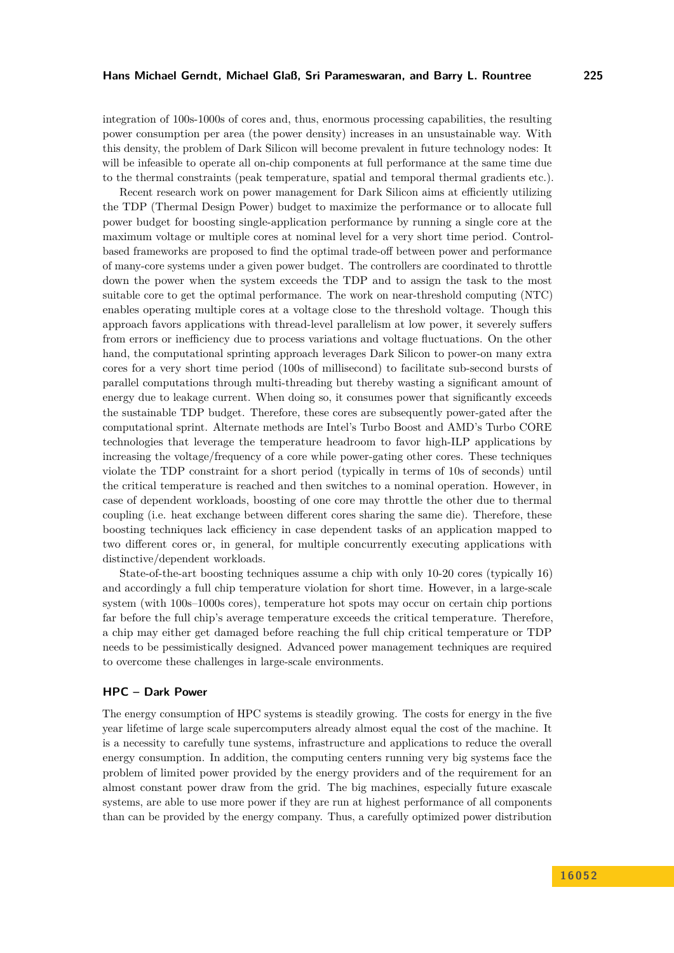integration of 100s-1000s of cores and, thus, enormous processing capabilities, the resulting power consumption per area (the power density) increases in an unsustainable way. With this density, the problem of Dark Silicon will become prevalent in future technology nodes: It will be infeasible to operate all on-chip components at full performance at the same time due to the thermal constraints (peak temperature, spatial and temporal thermal gradients etc.).

Recent research work on power management for Dark Silicon aims at efficiently utilizing the TDP (Thermal Design Power) budget to maximize the performance or to allocate full power budget for boosting single-application performance by running a single core at the maximum voltage or multiple cores at nominal level for a very short time period. Controlbased frameworks are proposed to find the optimal trade-off between power and performance of many-core systems under a given power budget. The controllers are coordinated to throttle down the power when the system exceeds the TDP and to assign the task to the most suitable core to get the optimal performance. The work on near-threshold computing (NTC) enables operating multiple cores at a voltage close to the threshold voltage. Though this approach favors applications with thread-level parallelism at low power, it severely suffers from errors or inefficiency due to process variations and voltage fluctuations. On the other hand, the computational sprinting approach leverages Dark Silicon to power-on many extra cores for a very short time period (100s of millisecond) to facilitate sub-second bursts of parallel computations through multi-threading but thereby wasting a significant amount of energy due to leakage current. When doing so, it consumes power that significantly exceeds the sustainable TDP budget. Therefore, these cores are subsequently power-gated after the computational sprint. Alternate methods are Intel's Turbo Boost and AMD's Turbo CORE technologies that leverage the temperature headroom to favor high-ILP applications by increasing the voltage/frequency of a core while power-gating other cores. These techniques violate the TDP constraint for a short period (typically in terms of 10s of seconds) until the critical temperature is reached and then switches to a nominal operation. However, in case of dependent workloads, boosting of one core may throttle the other due to thermal coupling (i.e. heat exchange between different cores sharing the same die). Therefore, these boosting techniques lack efficiency in case dependent tasks of an application mapped to two different cores or, in general, for multiple concurrently executing applications with distinctive/dependent workloads.

State-of-the-art boosting techniques assume a chip with only 10-20 cores (typically 16) and accordingly a full chip temperature violation for short time. However, in a large-scale system (with 100s–1000s cores), temperature hot spots may occur on certain chip portions far before the full chip's average temperature exceeds the critical temperature. Therefore, a chip may either get damaged before reaching the full chip critical temperature or TDP needs to be pessimistically designed. Advanced power management techniques are required to overcome these challenges in large-scale environments.

#### **HPC – Dark Power**

The energy consumption of HPC systems is steadily growing. The costs for energy in the five year lifetime of large scale supercomputers already almost equal the cost of the machine. It is a necessity to carefully tune systems, infrastructure and applications to reduce the overall energy consumption. In addition, the computing centers running very big systems face the problem of limited power provided by the energy providers and of the requirement for an almost constant power draw from the grid. The big machines, especially future exascale systems, are able to use more power if they are run at highest performance of all components than can be provided by the energy company. Thus, a carefully optimized power distribution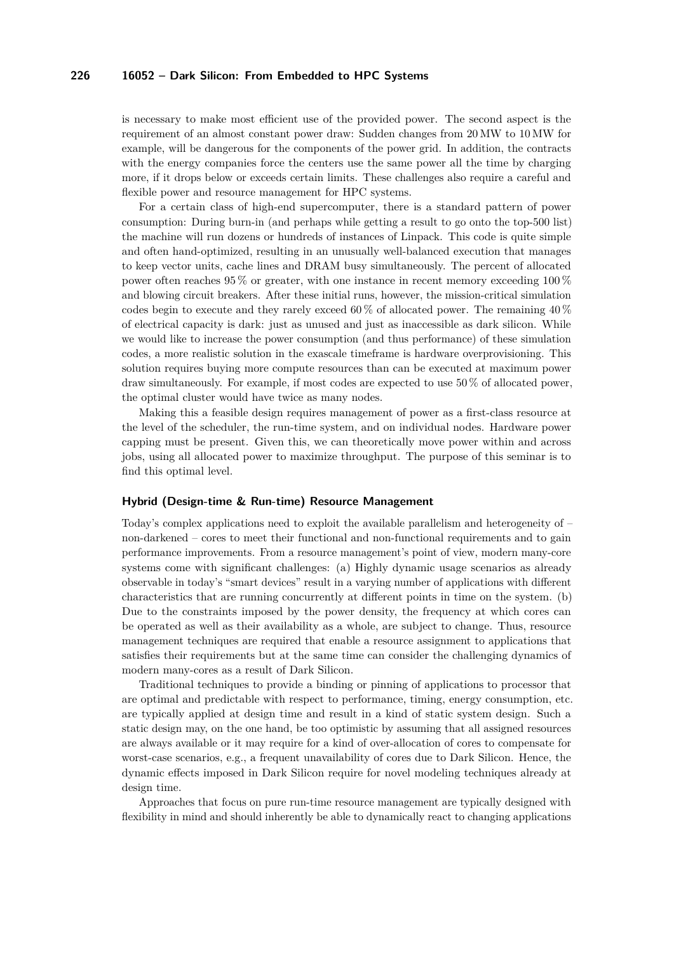is necessary to make most efficient use of the provided power. The second aspect is the requirement of an almost constant power draw: Sudden changes from 20 MW to 10 MW for example, will be dangerous for the components of the power grid. In addition, the contracts with the energy companies force the centers use the same power all the time by charging more, if it drops below or exceeds certain limits. These challenges also require a careful and flexible power and resource management for HPC systems.

For a certain class of high-end supercomputer, there is a standard pattern of power consumption: During burn-in (and perhaps while getting a result to go onto the top-500 list) the machine will run dozens or hundreds of instances of Linpack. This code is quite simple and often hand-optimized, resulting in an unusually well-balanced execution that manages to keep vector units, cache lines and DRAM busy simultaneously. The percent of allocated power often reaches 95 % or greater, with one instance in recent memory exceeding 100 % and blowing circuit breakers. After these initial runs, however, the mission-critical simulation codes begin to execute and they rarely exceed 60 % of allocated power. The remaining  $40\%$ of electrical capacity is dark: just as unused and just as inaccessible as dark silicon. While we would like to increase the power consumption (and thus performance) of these simulation codes, a more realistic solution in the exascale timeframe is hardware overprovisioning. This solution requires buying more compute resources than can be executed at maximum power draw simultaneously. For example, if most codes are expected to use 50 % of allocated power, the optimal cluster would have twice as many nodes.

Making this a feasible design requires management of power as a first-class resource at the level of the scheduler, the run-time system, and on individual nodes. Hardware power capping must be present. Given this, we can theoretically move power within and across jobs, using all allocated power to maximize throughput. The purpose of this seminar is to find this optimal level.

#### **Hybrid (Design-time & Run-time) Resource Management**

Today's complex applications need to exploit the available parallelism and heterogeneity of – non-darkened – cores to meet their functional and non-functional requirements and to gain performance improvements. From a resource management's point of view, modern many-core systems come with significant challenges: (a) Highly dynamic usage scenarios as already observable in today's "smart devices" result in a varying number of applications with different characteristics that are running concurrently at different points in time on the system. (b) Due to the constraints imposed by the power density, the frequency at which cores can be operated as well as their availability as a whole, are subject to change. Thus, resource management techniques are required that enable a resource assignment to applications that satisfies their requirements but at the same time can consider the challenging dynamics of modern many-cores as a result of Dark Silicon.

Traditional techniques to provide a binding or pinning of applications to processor that are optimal and predictable with respect to performance, timing, energy consumption, etc. are typically applied at design time and result in a kind of static system design. Such a static design may, on the one hand, be too optimistic by assuming that all assigned resources are always available or it may require for a kind of over-allocation of cores to compensate for worst-case scenarios, e.g., a frequent unavailability of cores due to Dark Silicon. Hence, the dynamic effects imposed in Dark Silicon require for novel modeling techniques already at design time.

Approaches that focus on pure run-time resource management are typically designed with flexibility in mind and should inherently be able to dynamically react to changing applications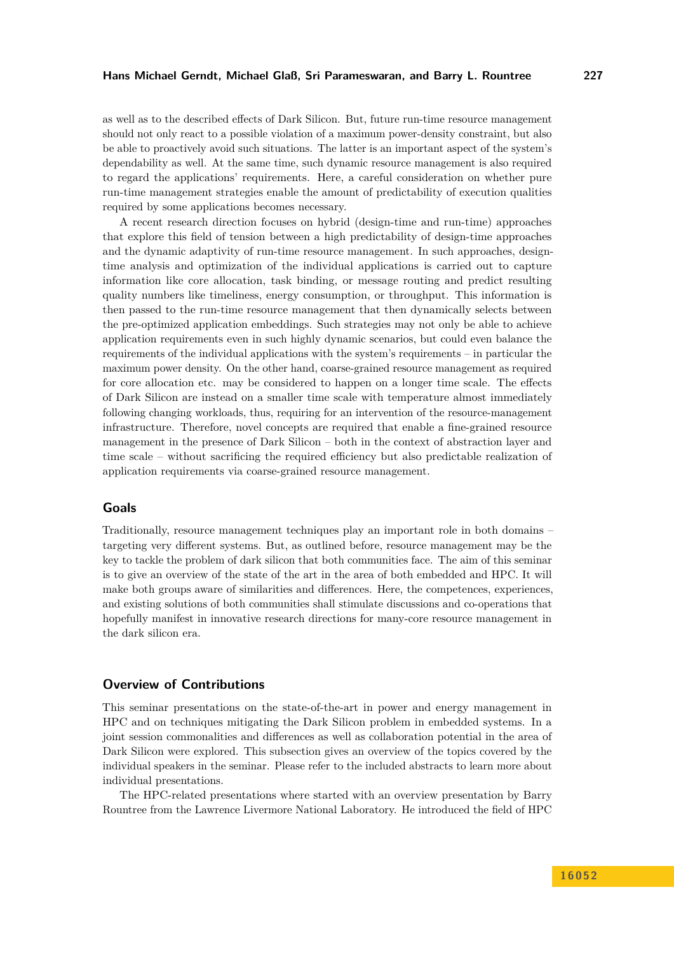as well as to the described effects of Dark Silicon. But, future run-time resource management should not only react to a possible violation of a maximum power-density constraint, but also be able to proactively avoid such situations. The latter is an important aspect of the system's dependability as well. At the same time, such dynamic resource management is also required to regard the applications' requirements. Here, a careful consideration on whether pure run-time management strategies enable the amount of predictability of execution qualities required by some applications becomes necessary.

A recent research direction focuses on hybrid (design-time and run-time) approaches that explore this field of tension between a high predictability of design-time approaches and the dynamic adaptivity of run-time resource management. In such approaches, designtime analysis and optimization of the individual applications is carried out to capture information like core allocation, task binding, or message routing and predict resulting quality numbers like timeliness, energy consumption, or throughput. This information is then passed to the run-time resource management that then dynamically selects between the pre-optimized application embeddings. Such strategies may not only be able to achieve application requirements even in such highly dynamic scenarios, but could even balance the requirements of the individual applications with the system's requirements – in particular the maximum power density. On the other hand, coarse-grained resource management as required for core allocation etc. may be considered to happen on a longer time scale. The effects of Dark Silicon are instead on a smaller time scale with temperature almost immediately following changing workloads, thus, requiring for an intervention of the resource-management infrastructure. Therefore, novel concepts are required that enable a fine-grained resource management in the presence of Dark Silicon – both in the context of abstraction layer and time scale – without sacrificing the required efficiency but also predictable realization of application requirements via coarse-grained resource management.

#### **Goals**

Traditionally, resource management techniques play an important role in both domains – targeting very different systems. But, as outlined before, resource management may be the key to tackle the problem of dark silicon that both communities face. The aim of this seminar is to give an overview of the state of the art in the area of both embedded and HPC. It will make both groups aware of similarities and differences. Here, the competences, experiences, and existing solutions of both communities shall stimulate discussions and co-operations that hopefully manifest in innovative research directions for many-core resource management in the dark silicon era.

### **Overview of Contributions**

This seminar presentations on the state-of-the-art in power and energy management in HPC and on techniques mitigating the Dark Silicon problem in embedded systems. In a joint session commonalities and differences as well as collaboration potential in the area of Dark Silicon were explored. This subsection gives an overview of the topics covered by the individual speakers in the seminar. Please refer to the included abstracts to learn more about individual presentations.

The HPC-related presentations where started with an overview presentation by Barry Rountree from the Lawrence Livermore National Laboratory. He introduced the field of HPC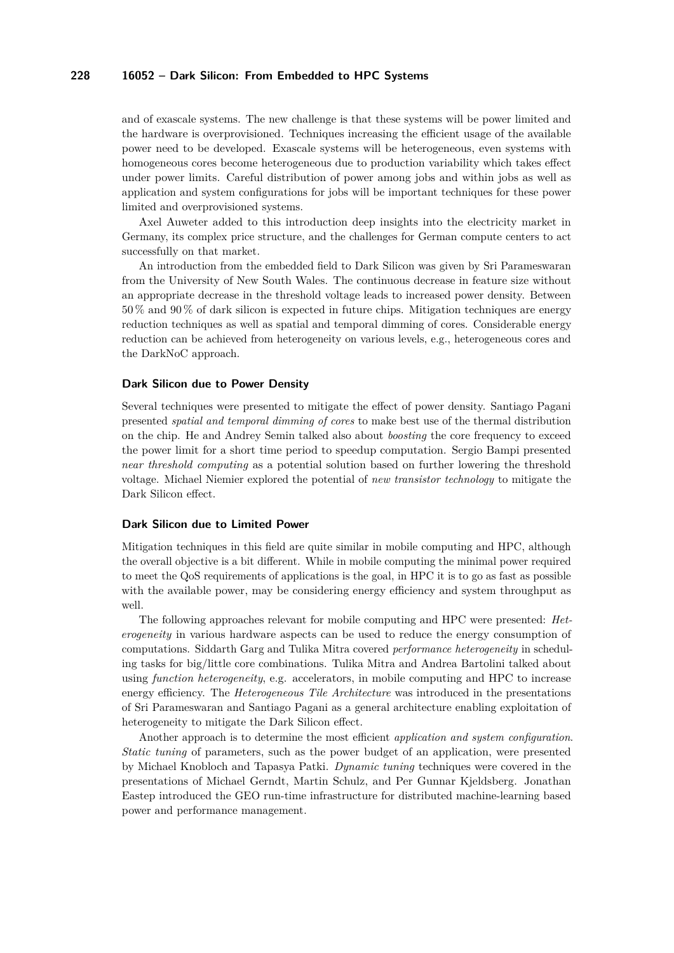and of exascale systems. The new challenge is that these systems will be power limited and the hardware is overprovisioned. Techniques increasing the efficient usage of the available power need to be developed. Exascale systems will be heterogeneous, even systems with homogeneous cores become heterogeneous due to production variability which takes effect under power limits. Careful distribution of power among jobs and within jobs as well as application and system configurations for jobs will be important techniques for these power limited and overprovisioned systems.

Axel Auweter added to this introduction deep insights into the electricity market in Germany, its complex price structure, and the challenges for German compute centers to act successfully on that market.

An introduction from the embedded field to Dark Silicon was given by Sri Parameswaran from the University of New South Wales. The continuous decrease in feature size without an appropriate decrease in the threshold voltage leads to increased power density. Between 50 % and 90 % of dark silicon is expected in future chips. Mitigation techniques are energy reduction techniques as well as spatial and temporal dimming of cores. Considerable energy reduction can be achieved from heterogeneity on various levels, e.g., heterogeneous cores and the DarkNoC approach.

#### **Dark Silicon due to Power Density**

Several techniques were presented to mitigate the effect of power density. Santiago Pagani presented *spatial and temporal dimming of cores* to make best use of the thermal distribution on the chip. He and Andrey Semin talked also about *boosting* the core frequency to exceed the power limit for a short time period to speedup computation. Sergio Bampi presented *near threshold computing* as a potential solution based on further lowering the threshold voltage. Michael Niemier explored the potential of *new transistor technology* to mitigate the Dark Silicon effect.

#### **Dark Silicon due to Limited Power**

Mitigation techniques in this field are quite similar in mobile computing and HPC, although the overall objective is a bit different. While in mobile computing the minimal power required to meet the QoS requirements of applications is the goal, in HPC it is to go as fast as possible with the available power, may be considering energy efficiency and system throughput as well.

The following approaches relevant for mobile computing and HPC were presented: *Heterogeneity* in various hardware aspects can be used to reduce the energy consumption of computations. Siddarth Garg and Tulika Mitra covered *performance heterogeneity* in scheduling tasks for big/little core combinations. Tulika Mitra and Andrea Bartolini talked about using *function heterogeneity*, e.g. accelerators, in mobile computing and HPC to increase energy efficiency. The *Heterogeneous Tile Architecture* was introduced in the presentations of Sri Parameswaran and Santiago Pagani as a general architecture enabling exploitation of heterogeneity to mitigate the Dark Silicon effect.

Another approach is to determine the most efficient *application and system configuration*. *Static tuning* of parameters, such as the power budget of an application, were presented by Michael Knobloch and Tapasya Patki. *Dynamic tuning* techniques were covered in the presentations of Michael Gerndt, Martin Schulz, and Per Gunnar Kjeldsberg. Jonathan Eastep introduced the GEO run-time infrastructure for distributed machine-learning based power and performance management.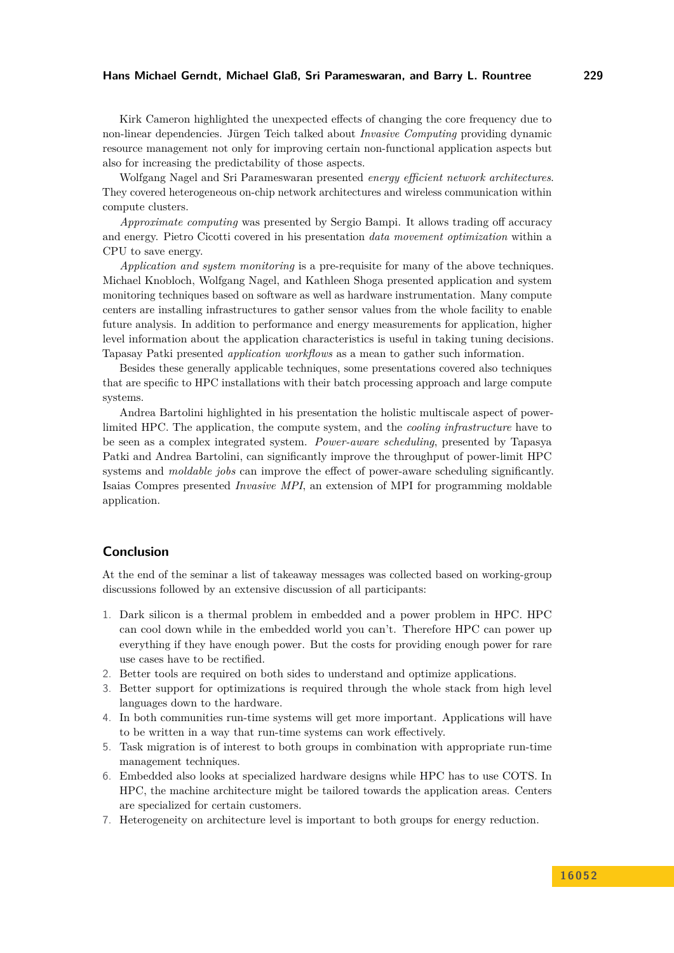#### **Hans Michael Gerndt, Michael Glaß, Sri Parameswaran, and Barry L. Rountree 229**

Kirk Cameron highlighted the unexpected effects of changing the core frequency due to non-linear dependencies. Jürgen Teich talked about *Invasive Computing* providing dynamic resource management not only for improving certain non-functional application aspects but also for increasing the predictability of those aspects.

Wolfgang Nagel and Sri Parameswaran presented *energy efficient network architectures*. They covered heterogeneous on-chip network architectures and wireless communication within compute clusters.

*Approximate computing* was presented by Sergio Bampi. It allows trading off accuracy and energy. Pietro Cicotti covered in his presentation *data movement optimization* within a CPU to save energy.

*Application and system monitoring* is a pre-requisite for many of the above techniques. Michael Knobloch, Wolfgang Nagel, and Kathleen Shoga presented application and system monitoring techniques based on software as well as hardware instrumentation. Many compute centers are installing infrastructures to gather sensor values from the whole facility to enable future analysis. In addition to performance and energy measurements for application, higher level information about the application characteristics is useful in taking tuning decisions. Tapasay Patki presented *application workflows* as a mean to gather such information.

Besides these generally applicable techniques, some presentations covered also techniques that are specific to HPC installations with their batch processing approach and large compute systems.

Andrea Bartolini highlighted in his presentation the holistic multiscale aspect of powerlimited HPC. The application, the compute system, and the *cooling infrastructure* have to be seen as a complex integrated system. *Power-aware scheduling*, presented by Tapasya Patki and Andrea Bartolini, can significantly improve the throughput of power-limit HPC systems and *moldable jobs* can improve the effect of power-aware scheduling significantly. Isaias Compres presented *Invasive MPI*, an extension of MPI for programming moldable application.

### **Conclusion**

At the end of the seminar a list of takeaway messages was collected based on working-group discussions followed by an extensive discussion of all participants:

- 1. Dark silicon is a thermal problem in embedded and a power problem in HPC. HPC can cool down while in the embedded world you can't. Therefore HPC can power up everything if they have enough power. But the costs for providing enough power for rare use cases have to be rectified.
- 2. Better tools are required on both sides to understand and optimize applications.
- 3. Better support for optimizations is required through the whole stack from high level languages down to the hardware.
- 4. In both communities run-time systems will get more important. Applications will have to be written in a way that run-time systems can work effectively.
- 5. Task migration is of interest to both groups in combination with appropriate run-time management techniques.
- 6. Embedded also looks at specialized hardware designs while HPC has to use COTS. In HPC, the machine architecture might be tailored towards the application areas. Centers are specialized for certain customers.
- 7. Heterogeneity on architecture level is important to both groups for energy reduction.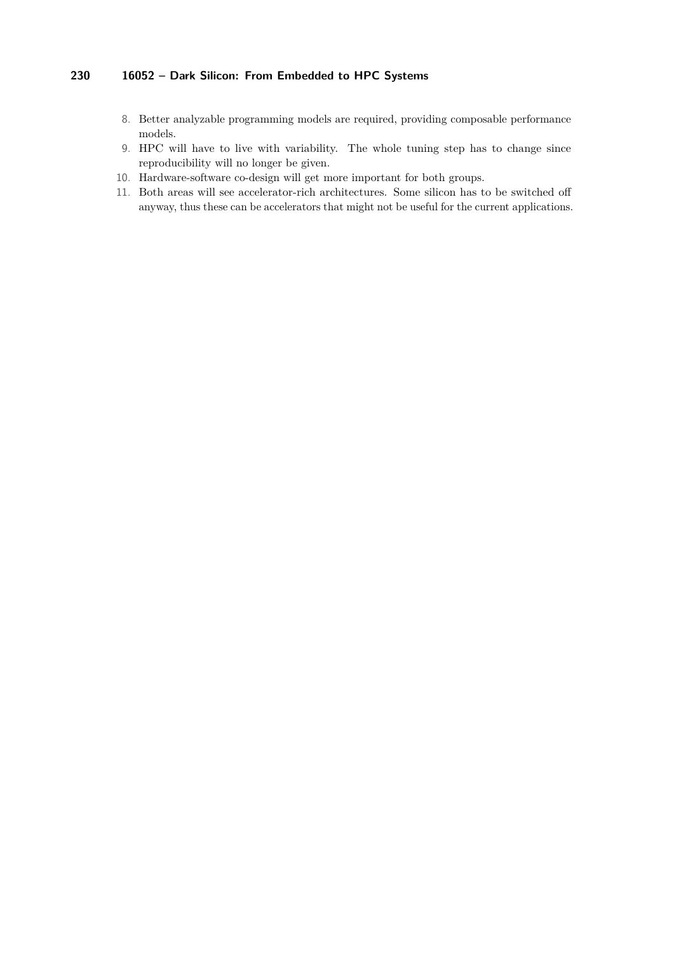- 8. Better analyzable programming models are required, providing composable performance models.
- 9. HPC will have to live with variability. The whole tuning step has to change since reproducibility will no longer be given.
- 10. Hardware-software co-design will get more important for both groups.
- 11. Both areas will see accelerator-rich architectures. Some silicon has to be switched off anyway, thus these can be accelerators that might not be useful for the current applications.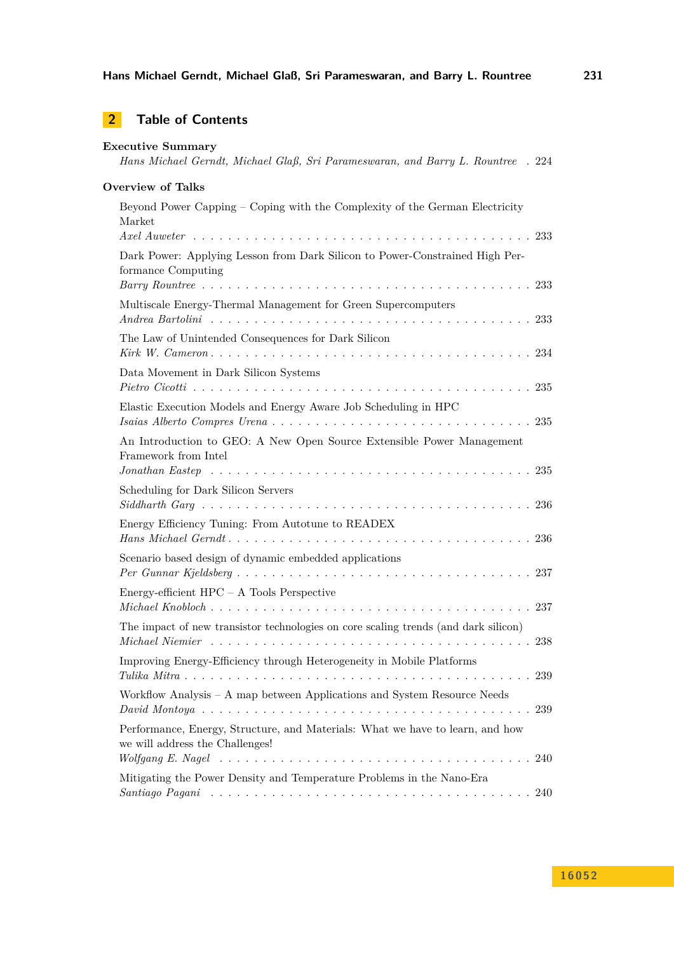# **2 Table of Contents**

| <b>Executive Summary</b><br>Hans Michael Gerndt, Michael Glaß, Sri Parameswaran, and Barry L. Rountree . 224                                                                                |  |
|---------------------------------------------------------------------------------------------------------------------------------------------------------------------------------------------|--|
| <b>Overview of Talks</b>                                                                                                                                                                    |  |
| Beyond Power Capping – Coping with the Complexity of the German Electricity<br>Market                                                                                                       |  |
| Dark Power: Applying Lesson from Dark Silicon to Power-Constrained High Per-<br>formance Computing                                                                                          |  |
| Multiscale Energy-Thermal Management for Green Supercomputers                                                                                                                               |  |
| The Law of Unintended Consequences for Dark Silicon                                                                                                                                         |  |
| Data Movement in Dark Silicon Systems                                                                                                                                                       |  |
| Elastic Execution Models and Energy Aware Job Scheduling in HPC                                                                                                                             |  |
| An Introduction to GEO: A New Open Source Extensible Power Management<br>Framework from Intel                                                                                               |  |
| Scheduling for Dark Silicon Servers                                                                                                                                                         |  |
| Energy Efficiency Tuning: From Autotune to READEX                                                                                                                                           |  |
| Scenario based design of dynamic embedded applications                                                                                                                                      |  |
| Energy-efficient $HPC - A$ Tools Perspective                                                                                                                                                |  |
| The impact of new transistor technologies on core scaling trends (and dark silicon)                                                                                                         |  |
| Improving Energy-Efficiency through Heterogeneity in Mobile Platforms<br>239                                                                                                                |  |
| Workflow Analysis - A map between Applications and System Resource Needs<br>239                                                                                                             |  |
| Performance, Energy, Structure, and Materials: What we have to learn, and how<br>we will address the Challenges!                                                                            |  |
| Wolfgang E. Nagel $\ldots \ldots \ldots \ldots \ldots \ldots \ldots \ldots \ldots \ldots \ldots \ldots \ldots 240$<br>Mitigating the Power Density and Temperature Problems in the Nano-Era |  |
|                                                                                                                                                                                             |  |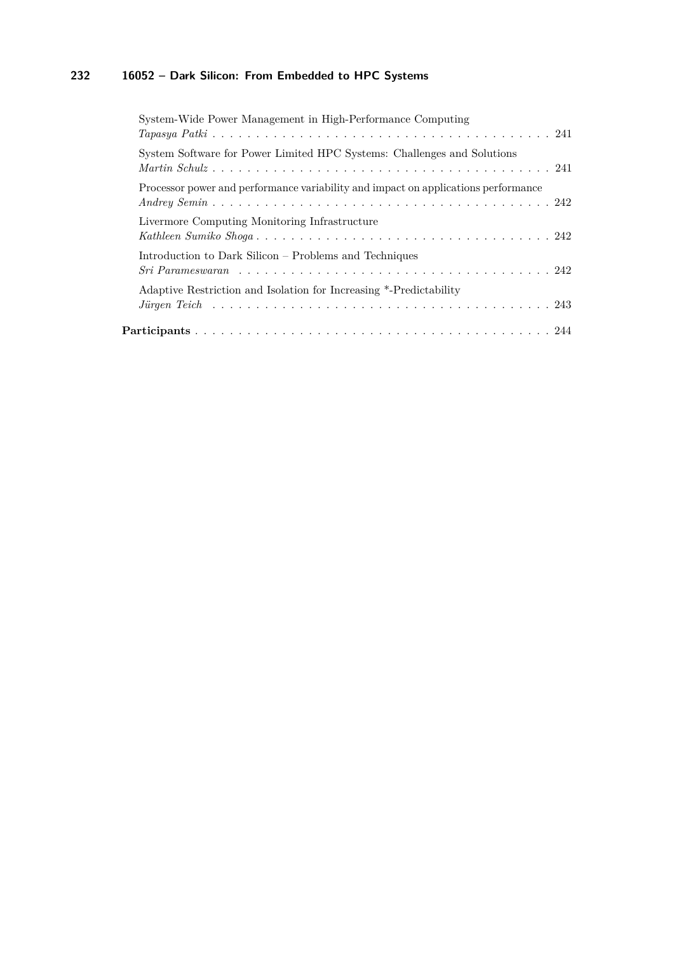| System-Wide Power Management in High-Performance Computing                         |
|------------------------------------------------------------------------------------|
| System Software for Power Limited HPC Systems: Challenges and Solutions            |
| Processor power and performance variability and impact on applications performance |
| Livermore Computing Monitoring Infrastructure                                      |
| Introduction to Dark Silicon – Problems and Techniques                             |
| Adaptive Restriction and Isolation for Increasing *-Predictability                 |
|                                                                                    |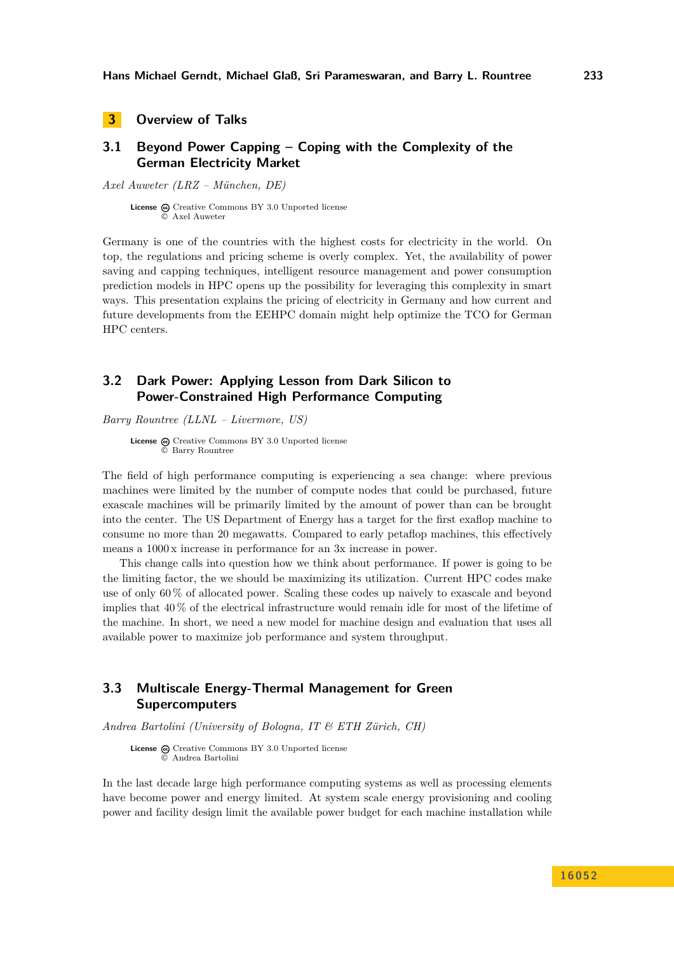<span id="page-9-0"></span>**3 Overview of Talks**

# <span id="page-9-1"></span>**3.1 Beyond Power Capping – Coping with the Complexity of the German Electricity Market**

*Axel Auweter (LRZ – München, DE)*

**License**  $\textcircled{e}$  [Creative Commons BY 3.0 Unported](http://creativecommons.org/licenses/by/3.0/) license © [Axel Auweter](#page-9-1)

Germany is one of the countries with the highest costs for electricity in the world. On top, the regulations and pricing scheme is overly complex. Yet, the availability of power saving and capping techniques, intelligent resource management and power consumption prediction models in HPC opens up the possibility for leveraging this complexity in smart ways. This presentation explains the pricing of electricity in Germany and how current and future developments from the EEHPC domain might help optimize the TCO for German HPC centers.

# <span id="page-9-2"></span>**3.2 Dark Power: Applying Lesson from Dark Silicon to Power-Constrained High Performance Computing**

*Barry Rountree (LLNL – Livermore, US)*

**License**  $\textcircled{e}$  [Creative Commons BY 3.0 Unported](http://creativecommons.org/licenses/by/3.0/) license © [Barry Rountree](#page-9-2)

The field of high performance computing is experiencing a sea change: where previous machines were limited by the number of compute nodes that could be purchased, future exascale machines will be primarily limited by the amount of power than can be brought into the center. The US Department of Energy has a target for the first exaflop machine to consume no more than 20 megawatts. Compared to early petaflop machines, this effectively means a 1000 x increase in performance for an 3x increase in power.

This change calls into question how we think about performance. If power is going to be the limiting factor, the we should be maximizing its utilization. Current HPC codes make use of only 60 % of allocated power. Scaling these codes up naively to exascale and beyond implies that 40 % of the electrical infrastructure would remain idle for most of the lifetime of the machine. In short, we need a new model for machine design and evaluation that uses all available power to maximize job performance and system throughput.

# <span id="page-9-3"></span>**3.3 Multiscale Energy-Thermal Management for Green Supercomputers**

*Andrea Bartolini (University of Bologna, IT & ETH Zürich, CH)*

**License**  $\textcircled{e}$  [Creative Commons BY 3.0 Unported](http://creativecommons.org/licenses/by/3.0/) license © [Andrea Bartolini](#page-9-3)

In the last decade large high performance computing systems as well as processing elements have become power and energy limited. At system scale energy provisioning and cooling power and facility design limit the available power budget for each machine installation while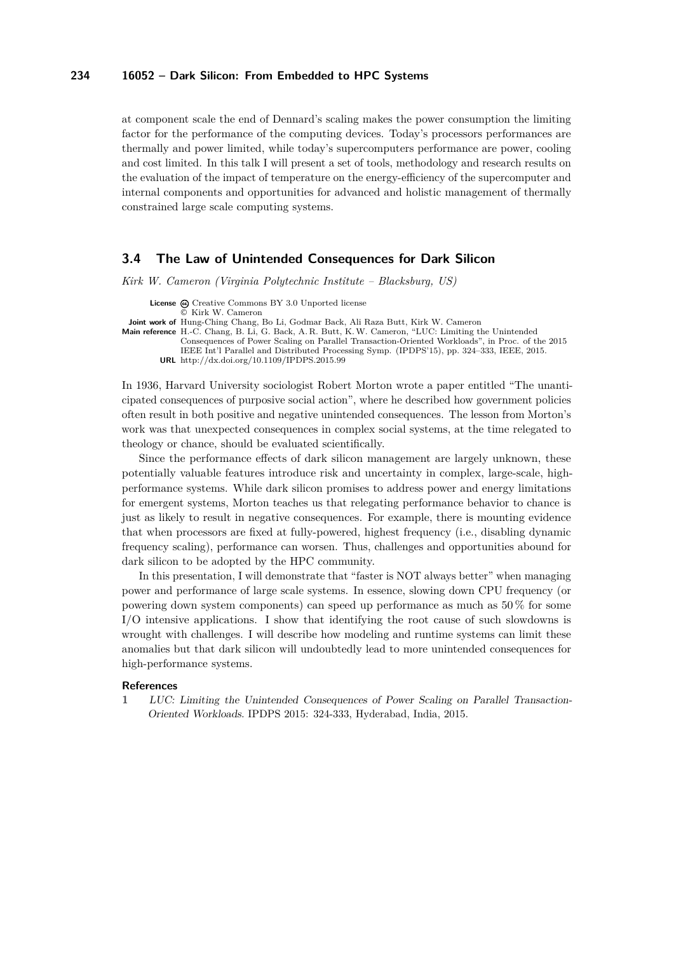at component scale the end of Dennard's scaling makes the power consumption the limiting factor for the performance of the computing devices. Today's processors performances are thermally and power limited, while today's supercomputers performance are power, cooling and cost limited. In this talk I will present a set of tools, methodology and research results on the evaluation of the impact of temperature on the energy-efficiency of the supercomputer and internal components and opportunities for advanced and holistic management of thermally constrained large scale computing systems.

### <span id="page-10-0"></span>**3.4 The Law of Unintended Consequences for Dark Silicon**

*Kirk W. Cameron (Virginia Polytechnic Institute – Blacksburg, US)*

**License**  $\textcircled{e}$  [Creative Commons BY 3.0 Unported](http://creativecommons.org/licenses/by/3.0/) license © [Kirk W. Cameron](#page-10-0)

**Joint work of** Hung-Ching Chang, Bo Li, Godmar Back, Ali Raza Butt, Kirk W. Cameron

**Main reference** [H.-C. Chang, B. Li, G. Back, A. R. Butt, K.W. Cameron, "LUC: Limiting the Unintended](http://dx.doi.org/10.1109/IPDPS.2015.99) [Consequences of Power Scaling on Parallel Transaction-Oriented Workloads", in Proc. of the 2015](http://dx.doi.org/10.1109/IPDPS.2015.99) [IEEE Int'l Parallel and Distributed Processing Symp. \(IPDPS'15\), pp. 324–333, IEEE, 2015.](http://dx.doi.org/10.1109/IPDPS.2015.99) **URL** <http://dx.doi.org/10.1109/IPDPS.2015.99>

In 1936, Harvard University sociologist Robert Morton wrote a paper entitled "The unanticipated consequences of purposive social action", where he described how government policies often result in both positive and negative unintended consequences. The lesson from Morton's work was that unexpected consequences in complex social systems, at the time relegated to theology or chance, should be evaluated scientifically.

Since the performance effects of dark silicon management are largely unknown, these potentially valuable features introduce risk and uncertainty in complex, large-scale, highperformance systems. While dark silicon promises to address power and energy limitations for emergent systems, Morton teaches us that relegating performance behavior to chance is just as likely to result in negative consequences. For example, there is mounting evidence that when processors are fixed at fully-powered, highest frequency (i.e., disabling dynamic frequency scaling), performance can worsen. Thus, challenges and opportunities abound for dark silicon to be adopted by the HPC community.

In this presentation, I will demonstrate that "faster is NOT always better" when managing power and performance of large scale systems. In essence, slowing down CPU frequency (or powering down system components) can speed up performance as much as 50 % for some I/O intensive applications. I show that identifying the root cause of such slowdowns is wrought with challenges. I will describe how modeling and runtime systems can limit these anomalies but that dark silicon will undoubtedly lead to more unintended consequences for high-performance systems.

#### **References**

**1** LUC: Limiting the Unintended Consequences of Power Scaling on Parallel Transaction-Oriented Workloads. IPDPS 2015: 324-333, Hyderabad, India, 2015.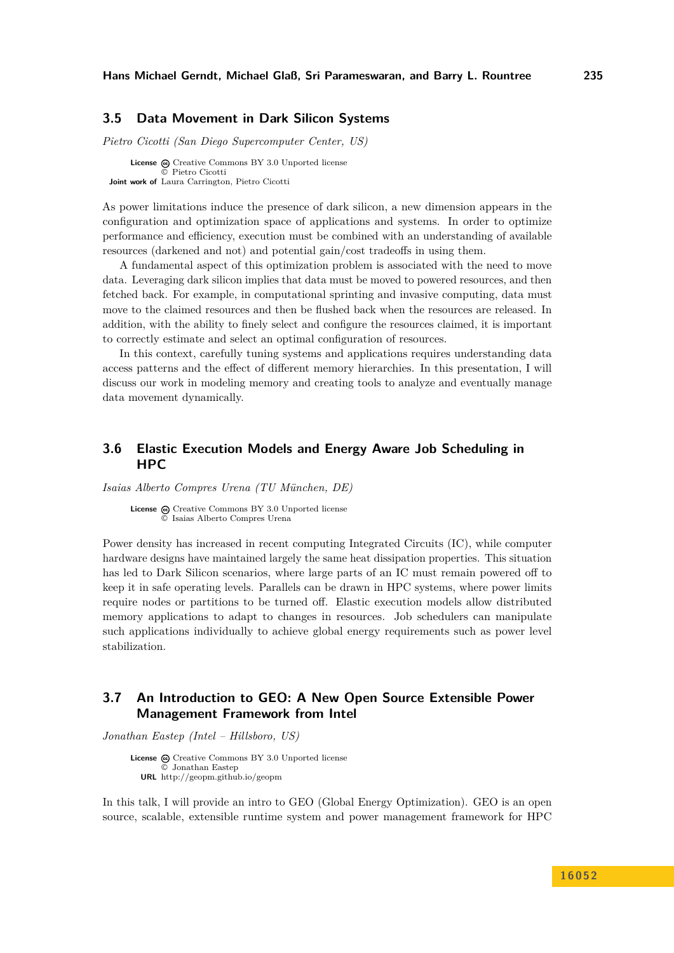### <span id="page-11-0"></span>**3.5 Data Movement in Dark Silicon Systems**

*Pietro Cicotti (San Diego Supercomputer Center, US)*

**License**  $\odot$  [Creative Commons BY 3.0 Unported](http://creativecommons.org/licenses/by/3.0/) license © [Pietro Cicotti](#page-11-0) **Joint work of** Laura Carrington, Pietro Cicotti

As power limitations induce the presence of dark silicon, a new dimension appears in the configuration and optimization space of applications and systems. In order to optimize performance and efficiency, execution must be combined with an understanding of available resources (darkened and not) and potential gain/cost tradeoffs in using them.

A fundamental aspect of this optimization problem is associated with the need to move data. Leveraging dark silicon implies that data must be moved to powered resources, and then fetched back. For example, in computational sprinting and invasive computing, data must move to the claimed resources and then be flushed back when the resources are released. In addition, with the ability to finely select and configure the resources claimed, it is important to correctly estimate and select an optimal configuration of resources.

In this context, carefully tuning systems and applications requires understanding data access patterns and the effect of different memory hierarchies. In this presentation, I will discuss our work in modeling memory and creating tools to analyze and eventually manage data movement dynamically.

## <span id="page-11-1"></span>**3.6 Elastic Execution Models and Energy Aware Job Scheduling in HPC**

*Isaias Alberto Compres Urena (TU München, DE)*

**License**  $\textcircled{c}$  [Creative Commons BY 3.0 Unported](http://creativecommons.org/licenses/by/3.0/) license © [Isaias Alberto Compres Urena](#page-11-1)

Power density has increased in recent computing Integrated Circuits (IC), while computer hardware designs have maintained largely the same heat dissipation properties. This situation has led to Dark Silicon scenarios, where large parts of an IC must remain powered off to keep it in safe operating levels. Parallels can be drawn in HPC systems, where power limits require nodes or partitions to be turned off. Elastic execution models allow distributed memory applications to adapt to changes in resources. Job schedulers can manipulate such applications individually to achieve global energy requirements such as power level stabilization.

# <span id="page-11-2"></span>**3.7 An Introduction to GEO: A New Open Source Extensible Power Management Framework from Intel**

*Jonathan Eastep (Intel – Hillsboro, US)*

License  $\odot$  [Creative Commons BY 3.0 Unported](http://creativecommons.org/licenses/by/3.0/) license © [Jonathan Eastep](#page-11-2) **URL** <http://geopm.github.io/geopm>

In this talk, I will provide an intro to GEO (Global Energy Optimization). GEO is an open source, scalable, extensible runtime system and power management framework for HPC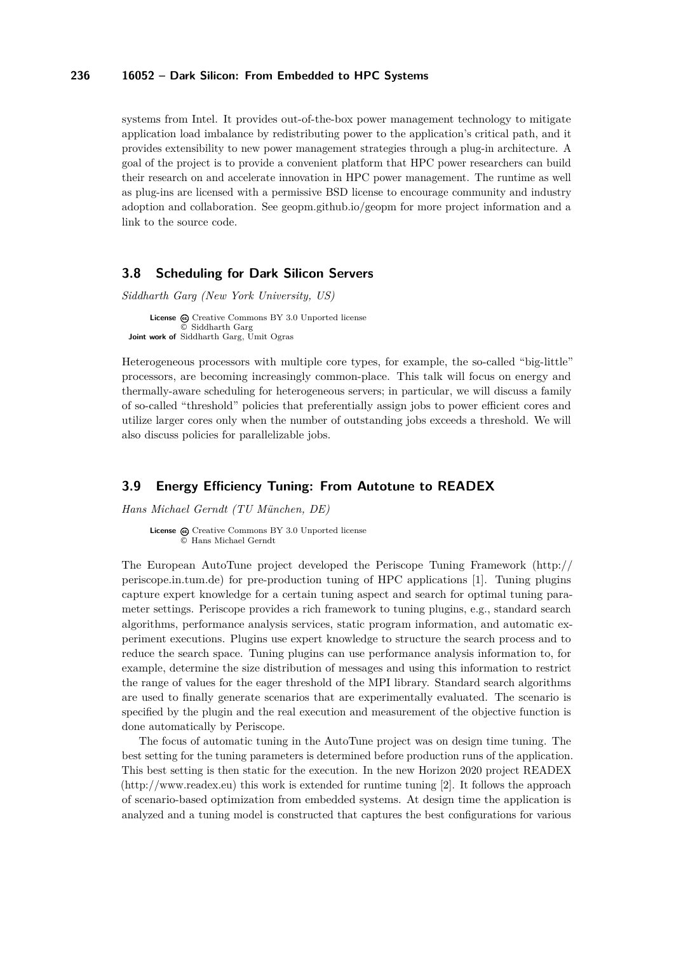systems from Intel. It provides out-of-the-box power management technology to mitigate application load imbalance by redistributing power to the application's critical path, and it provides extensibility to new power management strategies through a plug-in architecture. A goal of the project is to provide a convenient platform that HPC power researchers can build their research on and accelerate innovation in HPC power management. The runtime as well as plug-ins are licensed with a permissive BSD license to encourage community and industry adoption and collaboration. See geopm.github.io/geopm for more project information and a link to the source code.

### <span id="page-12-0"></span>**3.8 Scheduling for Dark Silicon Servers**

*Siddharth Garg (New York University, US)*

License  $\textcircled{c}$  [Creative Commons BY 3.0 Unported](http://creativecommons.org/licenses/by/3.0/) license © [Siddharth Garg](#page-12-0) Joint work of Siddharth Garg, Umit Ogras

Heterogeneous processors with multiple core types, for example, the so-called "big-little" processors, are becoming increasingly common-place. This talk will focus on energy and thermally-aware scheduling for heterogeneous servers; in particular, we will discuss a family of so-called "threshold" policies that preferentially assign jobs to power efficient cores and utilize larger cores only when the number of outstanding jobs exceeds a threshold. We will also discuss policies for parallelizable jobs.

### <span id="page-12-1"></span>**3.9 Energy Efficiency Tuning: From Autotune to READEX**

*Hans Michael Gerndt (TU München, DE)*

License  $\odot$  [Creative Commons BY 3.0 Unported](http://creativecommons.org/licenses/by/3.0/) license © [Hans Michael Gerndt](#page-12-1)

The European AutoTune project developed the Periscope Tuning Framework [\(http://](http://periscope.in.tum.de) [periscope.in.tum.de\)](http://periscope.in.tum.de) for pre-production tuning of HPC applications [\[1\]](#page-13-2). Tuning plugins capture expert knowledge for a certain tuning aspect and search for optimal tuning parameter settings. Periscope provides a rich framework to tuning plugins, e.g., standard search algorithms, performance analysis services, static program information, and automatic experiment executions. Plugins use expert knowledge to structure the search process and to reduce the search space. Tuning plugins can use performance analysis information to, for example, determine the size distribution of messages and using this information to restrict the range of values for the eager threshold of the MPI library. Standard search algorithms are used to finally generate scenarios that are experimentally evaluated. The scenario is specified by the plugin and the real execution and measurement of the objective function is done automatically by Periscope.

The focus of automatic tuning in the AutoTune project was on design time tuning. The best setting for the tuning parameters is determined before production runs of the application. This best setting is then static for the execution. In the new Horizon 2020 project READEX [\(http://www.readex.eu\)](http://www.readex.eu) this work is extended for runtime tuning [\[2\]](#page-13-3). It follows the approach of scenario-based optimization from embedded systems. At design time the application is analyzed and a tuning model is constructed that captures the best configurations for various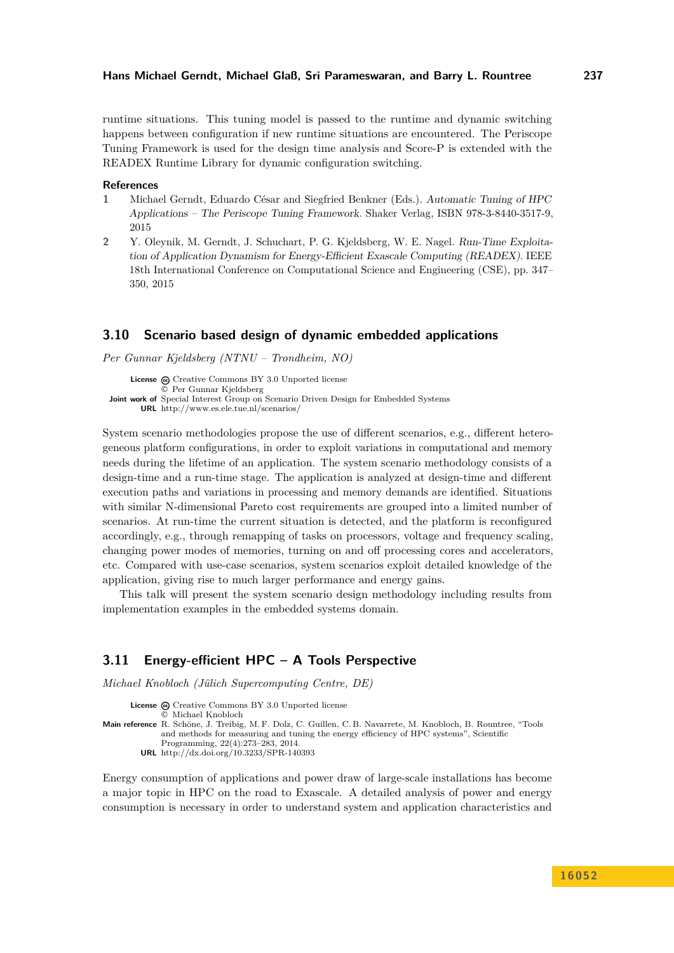runtime situations. This tuning model is passed to the runtime and dynamic switching happens between configuration if new runtime situations are encountered. The Periscope Tuning Framework is used for the design time analysis and Score-P is extended with the READEX Runtime Library for dynamic configuration switching.

#### **References**

- <span id="page-13-2"></span>**1** Michael Gerndt, Eduardo César and Siegfried Benkner (Eds.). Automatic Tuning of HPC Applications – The Periscope Tuning Framework. Shaker Verlag, ISBN 978-3-8440-3517-9, 2015
- <span id="page-13-3"></span>**2** Y. Oleynik, M. Gerndt, J. Schuchart, P. G. Kjeldsberg, W. E. Nagel. Run-Time Exploitation of Application Dynamism for Energy-Efficient Exascale Computing (READEX). IEEE 18th International Conference on Computational Science and Engineering (CSE), pp. 347– 350, 2015

### <span id="page-13-0"></span>**3.10 Scenario based design of dynamic embedded applications**

*Per Gunnar Kjeldsberg (NTNU – Trondheim, NO)*

License  $\textcircled{c}$  [Creative Commons BY 3.0 Unported](http://creativecommons.org/licenses/by/3.0/) license © [Per Gunnar Kjeldsberg](#page-13-0) **Joint work of** Special Interest Group on Scenario Driven Design for Embedded Systems **URL** <http://www.es.ele.tue.nl/scenarios/>

System scenario methodologies propose the use of different scenarios, e.g., different heterogeneous platform configurations, in order to exploit variations in computational and memory needs during the lifetime of an application. The system scenario methodology consists of a design-time and a run-time stage. The application is analyzed at design-time and different execution paths and variations in processing and memory demands are identified. Situations with similar N-dimensional Pareto cost requirements are grouped into a limited number of scenarios. At run-time the current situation is detected, and the platform is reconfigured accordingly, e.g., through remapping of tasks on processors, voltage and frequency scaling, changing power modes of memories, turning on and off processing cores and accelerators, etc. Compared with use-case scenarios, system scenarios exploit detailed knowledge of the application, giving rise to much larger performance and energy gains.

This talk will present the system scenario design methodology including results from implementation examples in the embedded systems domain.

### <span id="page-13-1"></span>**3.11 Energy-efficient HPC – A Tools Perspective**

*Michael Knobloch (Jülich Supercomputing Centre, DE)*

```
License \textcircled{c}Creative Commons BY 3.0 Unported license
               © Michael Knobloch
Main reference R. Schöne, J. Treibig, M. F. Dolz, C. Guillen, C. B. Navarrete, M. Knobloch, B. Rountree, "Tools
              and methods for measuring and tuning the energy efficiency of HPC systems", Scientific
               Programming, 22(4):273–283, 2014.
         URL http://dx.doi.org/10.3233/SPR-140393
```
Energy consumption of applications and power draw of large-scale installations has become a major topic in HPC on the road to Exascale. A detailed analysis of power and energy consumption is necessary in order to understand system and application characteristics and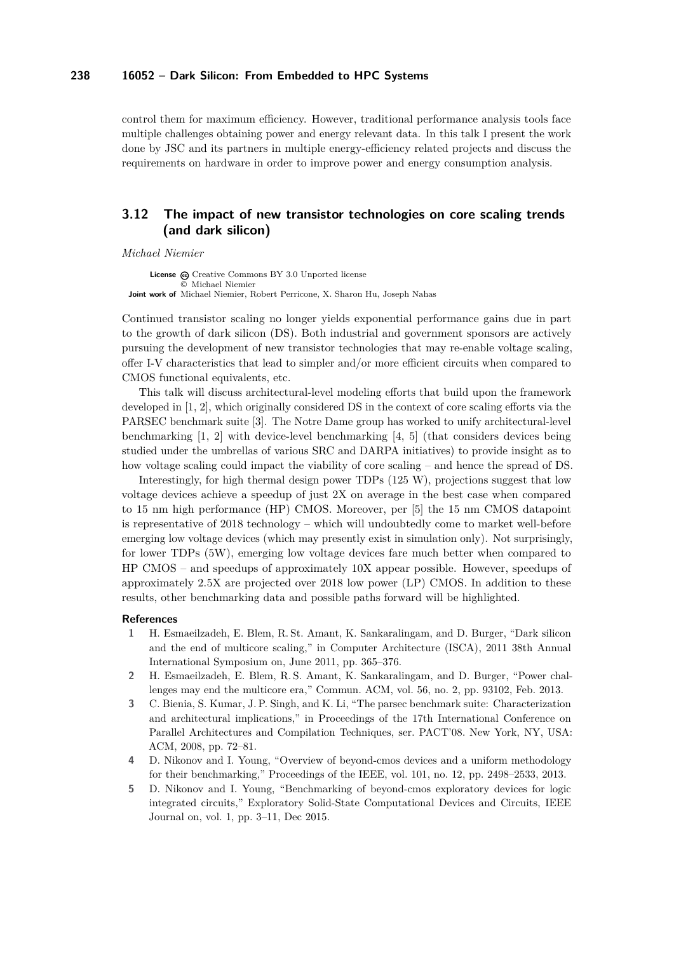control them for maximum efficiency. However, traditional performance analysis tools face multiple challenges obtaining power and energy relevant data. In this talk I present the work done by JSC and its partners in multiple energy-efficiency related projects and discuss the requirements on hardware in order to improve power and energy consumption analysis.

# <span id="page-14-0"></span>**3.12 The impact of new transistor technologies on core scaling trends (and dark silicon)**

*Michael Niemier*

License  $\textcircled{c}$  [Creative Commons BY 3.0 Unported](http://creativecommons.org/licenses/by/3.0/) license © [Michael Niemier](#page-14-0) **Joint work of** Michael Niemier, Robert Perricone, X. Sharon Hu, Joseph Nahas

Continued transistor scaling no longer yields exponential performance gains due in part to the growth of dark silicon (DS). Both industrial and government sponsors are actively pursuing the development of new transistor technologies that may re-enable voltage scaling, offer I-V characteristics that lead to simpler and/or more efficient circuits when compared to CMOS functional equivalents, etc.

This talk will discuss architectural-level modeling efforts that build upon the framework developed in [\[1,](#page-14-1) [2\]](#page-14-2), which originally considered DS in the context of core scaling efforts via the PARSEC benchmark suite [\[3\]](#page-14-3). The Notre Dame group has worked to unify architectural-level benchmarking [\[1,](#page-14-1) [2\]](#page-14-2) with device-level benchmarking [\[4,](#page-14-4) [5\]](#page-14-5) (that considers devices being studied under the umbrellas of various SRC and DARPA initiatives) to provide insight as to how voltage scaling could impact the viability of core scaling – and hence the spread of DS.

Interestingly, for high thermal design power TDPs (125 W), projections suggest that low voltage devices achieve a speedup of just 2X on average in the best case when compared to 15 nm high performance (HP) CMOS. Moreover, per [\[5\]](#page-14-5) the 15 nm CMOS datapoint is representative of 2018 technology – which will undoubtedly come to market well-before emerging low voltage devices (which may presently exist in simulation only). Not surprisingly, for lower TDPs (5W), emerging low voltage devices fare much better when compared to HP CMOS – and speedups of approximately 10X appear possible. However, speedups of approximately 2.5X are projected over 2018 low power (LP) CMOS. In addition to these results, other benchmarking data and possible paths forward will be highlighted.

#### **References**

- <span id="page-14-1"></span>**1** H. Esmaeilzadeh, E. Blem, R. St. Amant, K. Sankaralingam, and D. Burger, "Dark silicon and the end of multicore scaling," in Computer Architecture (ISCA), 2011 38th Annual International Symposium on, June 2011, pp. 365–376.
- <span id="page-14-2"></span>**2** H. Esmaeilzadeh, E. Blem, R. S. Amant, K. Sankaralingam, and D. Burger, "Power challenges may end the multicore era," Commun. ACM, vol. 56, no. 2, pp. 93102, Feb. 2013.
- <span id="page-14-3"></span>**3** C. Bienia, S. Kumar, J. P. Singh, and K. Li, "The parsec benchmark suite: Characterization and architectural implications," in Proceedings of the 17th International Conference on Parallel Architectures and Compilation Techniques, ser. PACT'08. New York, NY, USA: ACM, 2008, pp. 72–81.
- <span id="page-14-4"></span>**4** D. Nikonov and I. Young, "Overview of beyond-cmos devices and a uniform methodology for their benchmarking," Proceedings of the IEEE, vol. 101, no. 12, pp. 2498–2533, 2013.
- <span id="page-14-5"></span>**5** D. Nikonov and I. Young, "Benchmarking of beyond-cmos exploratory devices for logic integrated circuits," Exploratory Solid-State Computational Devices and Circuits, IEEE Journal on, vol. 1, pp. 3–11, Dec 2015.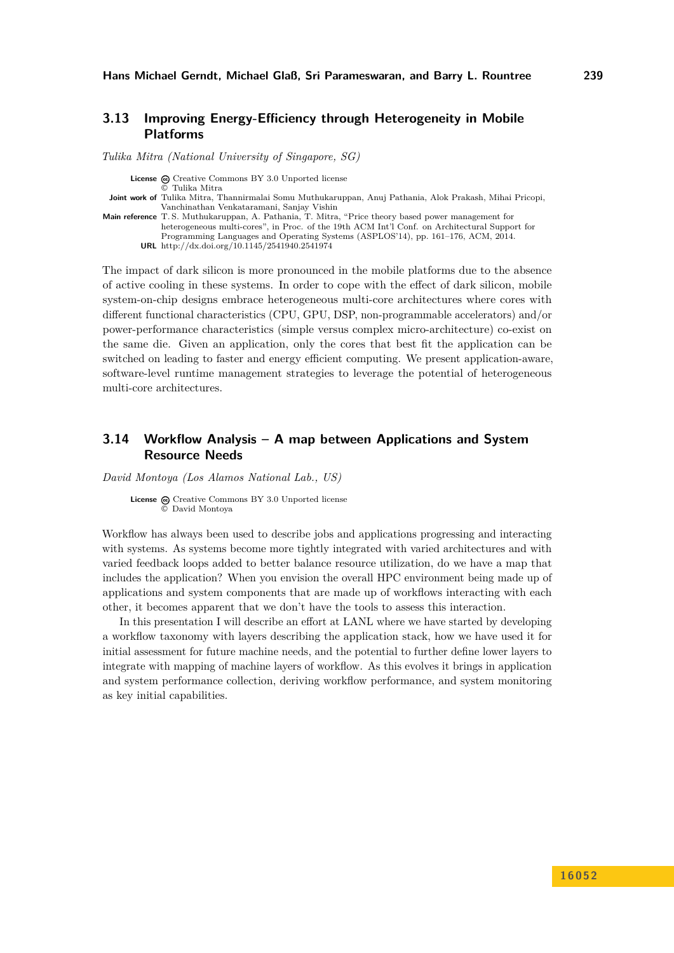### <span id="page-15-0"></span>**3.13 Improving Energy-Efficiency through Heterogeneity in Mobile Platforms**

*Tulika Mitra (National University of Singapore, SG)*

**License**  $\textcircled{c}$  [Creative Commons BY 3.0 Unported](http://creativecommons.org/licenses/by/3.0/) license © [Tulika Mitra](#page-15-0) **Joint work of** Tulika Mitra, Thannirmalai Somu Muthukaruppan, Anuj Pathania, Alok Prakash, Mihai Pricopi, Vanchinathan Venkataramani, Sanjay Vishin **Main reference** [T. S. Muthukaruppan, A. Pathania, T. Mitra, "Price theory based power management for](http://dx.doi.org/10.1145/2541940.2541974) [heterogeneous multi-cores", in Proc. of the 19th ACM Int'l Conf. on Architectural Support for](http://dx.doi.org/10.1145/2541940.2541974) [Programming Languages and Operating Systems \(ASPLOS'14\), pp. 161–176, ACM, 2014.](http://dx.doi.org/10.1145/2541940.2541974) **URL** <http://dx.doi.org/10.1145/2541940.2541974>

The impact of dark silicon is more pronounced in the mobile platforms due to the absence of active cooling in these systems. In order to cope with the effect of dark silicon, mobile system-on-chip designs embrace heterogeneous multi-core architectures where cores with different functional characteristics (CPU, GPU, DSP, non-programmable accelerators) and/or power-performance characteristics (simple versus complex micro-architecture) co-exist on the same die. Given an application, only the cores that best fit the application can be switched on leading to faster and energy efficient computing. We present application-aware, software-level runtime management strategies to leverage the potential of heterogeneous multi-core architectures.

# <span id="page-15-1"></span>**3.14 Workflow Analysis – A map between Applications and System Resource Needs**

*David Montoya (Los Alamos National Lab., US)*

License  $\textcircled{c}$  [Creative Commons BY 3.0 Unported](http://creativecommons.org/licenses/by/3.0/) license © [David Montoya](#page-15-1)

Workflow has always been used to describe jobs and applications progressing and interacting with systems. As systems become more tightly integrated with varied architectures and with varied feedback loops added to better balance resource utilization, do we have a map that includes the application? When you envision the overall HPC environment being made up of applications and system components that are made up of workflows interacting with each other, it becomes apparent that we don't have the tools to assess this interaction.

In this presentation I will describe an effort at LANL where we have started by developing a workflow taxonomy with layers describing the application stack, how we have used it for initial assessment for future machine needs, and the potential to further define lower layers to integrate with mapping of machine layers of workflow. As this evolves it brings in application and system performance collection, deriving workflow performance, and system monitoring as key initial capabilities.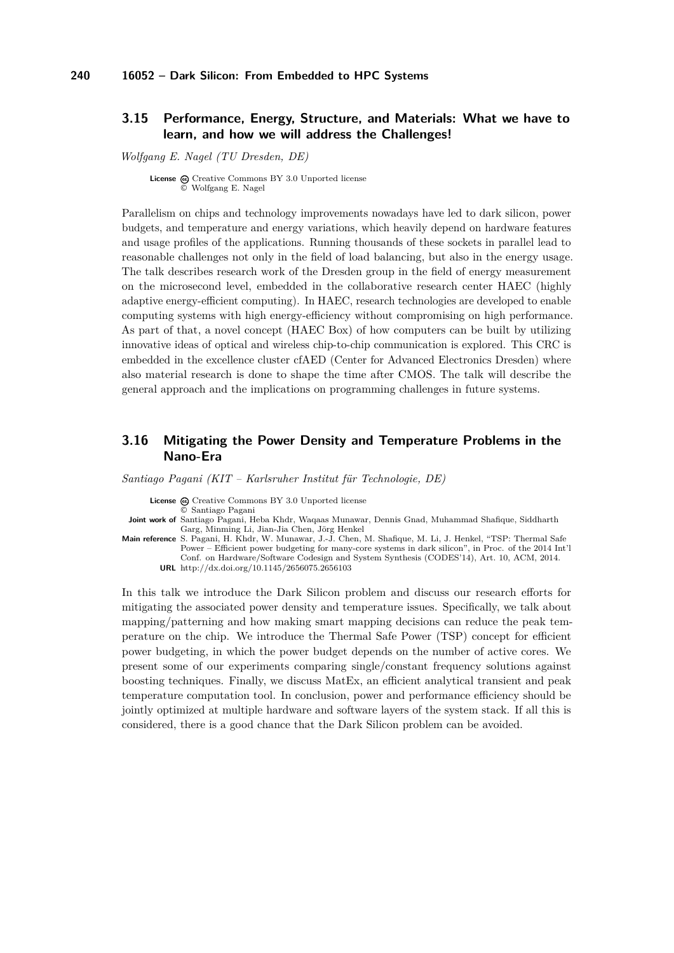### <span id="page-16-0"></span>**3.15 Performance, Energy, Structure, and Materials: What we have to learn, and how we will address the Challenges!**

*Wolfgang E. Nagel (TU Dresden, DE)*

License  $\textcircled{c}$  [Creative Commons BY 3.0 Unported](http://creativecommons.org/licenses/by/3.0/) license © [Wolfgang E. Nagel](#page-16-0)

Parallelism on chips and technology improvements nowadays have led to dark silicon, power budgets, and temperature and energy variations, which heavily depend on hardware features and usage profiles of the applications. Running thousands of these sockets in parallel lead to reasonable challenges not only in the field of load balancing, but also in the energy usage. The talk describes research work of the Dresden group in the field of energy measurement on the microsecond level, embedded in the collaborative research center HAEC (highly adaptive energy-efficient computing). In HAEC, research technologies are developed to enable computing systems with high energy-efficiency without compromising on high performance. As part of that, a novel concept (HAEC Box) of how computers can be built by utilizing innovative ideas of optical and wireless chip-to-chip communication is explored. This CRC is embedded in the excellence cluster cfAED (Center for Advanced Electronics Dresden) where also material research is done to shape the time after CMOS. The talk will describe the general approach and the implications on programming challenges in future systems.

## <span id="page-16-1"></span>**3.16 Mitigating the Power Density and Temperature Problems in the Nano-Era**

*Santiago Pagani (KIT – Karlsruher Institut für Technologie, DE)*

License  $\odot$  [Creative Commons BY 3.0 Unported](http://creativecommons.org/licenses/by/3.0/) license

© [Santiago Pagani](#page-16-1)

- **Joint work of** Santiago Pagani, Heba Khdr, Waqaas Munawar, Dennis Gnad, Muhammad Shafique, Siddharth Garg, Minming Li, Jian-Jia Chen, Jörg Henkel
- **Main reference** [S. Pagani, H. Khdr, W. Munawar, J.-J. Chen, M. Shafique, M. Li, J. Henkel, "TSP: Thermal Safe](http://dx.doi.org/10.1145/2656075.2656103) [Power – Efficient power budgeting for many-core systems in dark silicon", in Proc. of the 2014 Int'l](http://dx.doi.org/10.1145/2656075.2656103) [Conf. on Hardware/Software Codesign and System Synthesis \(CODES'14\), Art. 10, ACM, 2014.](http://dx.doi.org/10.1145/2656075.2656103) **URL** <http://dx.doi.org/10.1145/2656075.2656103>

In this talk we introduce the Dark Silicon problem and discuss our research efforts for mitigating the associated power density and temperature issues. Specifically, we talk about mapping/patterning and how making smart mapping decisions can reduce the peak temperature on the chip. We introduce the Thermal Safe Power (TSP) concept for efficient power budgeting, in which the power budget depends on the number of active cores. We present some of our experiments comparing single/constant frequency solutions against boosting techniques. Finally, we discuss MatEx, an efficient analytical transient and peak temperature computation tool. In conclusion, power and performance efficiency should be jointly optimized at multiple hardware and software layers of the system stack. If all this is considered, there is a good chance that the Dark Silicon problem can be avoided.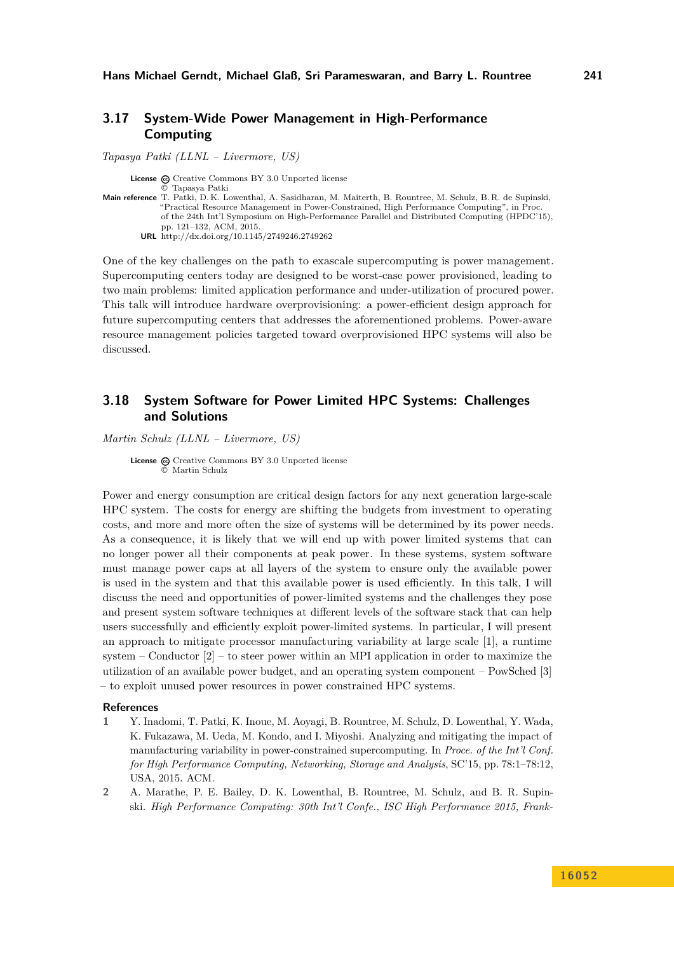## <span id="page-17-0"></span>**3.17 System-Wide Power Management in High-Performance Computing**

*Tapasya Patki (LLNL – Livermore, US)* License  $\textcircled{c}$  [Creative Commons BY 3.0 Unported](http://creativecommons.org/licenses/by/3.0/) license © [Tapasya Patki](#page-17-0) **Main reference** [T. Patki, D. K. Lowenthal, A. Sasidharan, M. Maiterth, B. Rountree, M. Schulz, B. R. de Supinski,](http://dx.doi.org/10.1145/2749246.2749262) ["Practical Resource Management in Power-Constrained, High Performance Computing", in Proc.](http://dx.doi.org/10.1145/2749246.2749262) [of the 24th Int'l Symposium on High-Performance Parallel and Distributed Computing \(HPDC'15\),](http://dx.doi.org/10.1145/2749246.2749262) [pp. 121–132, ACM, 2015.](http://dx.doi.org/10.1145/2749246.2749262) **URL** <http://dx.doi.org/10.1145/2749246.2749262>

One of the key challenges on the path to exascale supercomputing is power management. Supercomputing centers today are designed to be worst-case power provisioned, leading to two main problems: limited application performance and under-utilization of procured power. This talk will introduce hardware overprovisioning: a power-efficient design approach for future supercomputing centers that addresses the aforementioned problems. Power-aware resource management policies targeted toward overprovisioned HPC systems will also be discussed.

# <span id="page-17-1"></span>**3.18 System Software for Power Limited HPC Systems: Challenges and Solutions**

*Martin Schulz (LLNL – Livermore, US)*

License  $\textcircled{c}$  [Creative Commons BY 3.0 Unported](http://creativecommons.org/licenses/by/3.0/) license © [Martin Schulz](#page-17-1)

Power and energy consumption are critical design factors for any next generation large-scale HPC system. The costs for energy are shifting the budgets from investment to operating costs, and more and more often the size of systems will be determined by its power needs. As a consequence, it is likely that we will end up with power limited systems that can no longer power all their components at peak power. In these systems, system software must manage power caps at all layers of the system to ensure only the available power is used in the system and that this available power is used efficiently. In this talk, I will discuss the need and opportunities of power-limited systems and the challenges they pose and present system software techniques at different levels of the software stack that can help users successfully and efficiently exploit power-limited systems. In particular, I will present an approach to mitigate processor manufacturing variability at large scale [\[1\]](#page-17-2), a runtime system – Conductor  $[2]$  – to steer power within an MPI application in order to maximize the utilization of an available power budget, and an operating system component – PowSched [\[3\]](#page-18-3) – to exploit unused power resources in power constrained HPC systems.

#### **References**

- <span id="page-17-2"></span>**1** Y. Inadomi, T. Patki, K. Inoue, M. Aoyagi, B. Rountree, M. Schulz, D. Lowenthal, Y. Wada, K. Fukazawa, M. Ueda, M. Kondo, and I. Miyoshi. Analyzing and mitigating the impact of manufacturing variability in power-constrained supercomputing. In *Proce. of the Int'l Conf. for High Performance Computing, Networking, Storage and Analysis*, SC'15, pp. 78:1–78:12, USA, 2015. ACM.
- <span id="page-17-3"></span>**2** A. Marathe, P. E. Bailey, D. K. Lowenthal, B. Rountree, M. Schulz, and B. R. Supinski. *High Performance Computing: 30th Int'l Confe., ISC High Performance 2015, Frank-*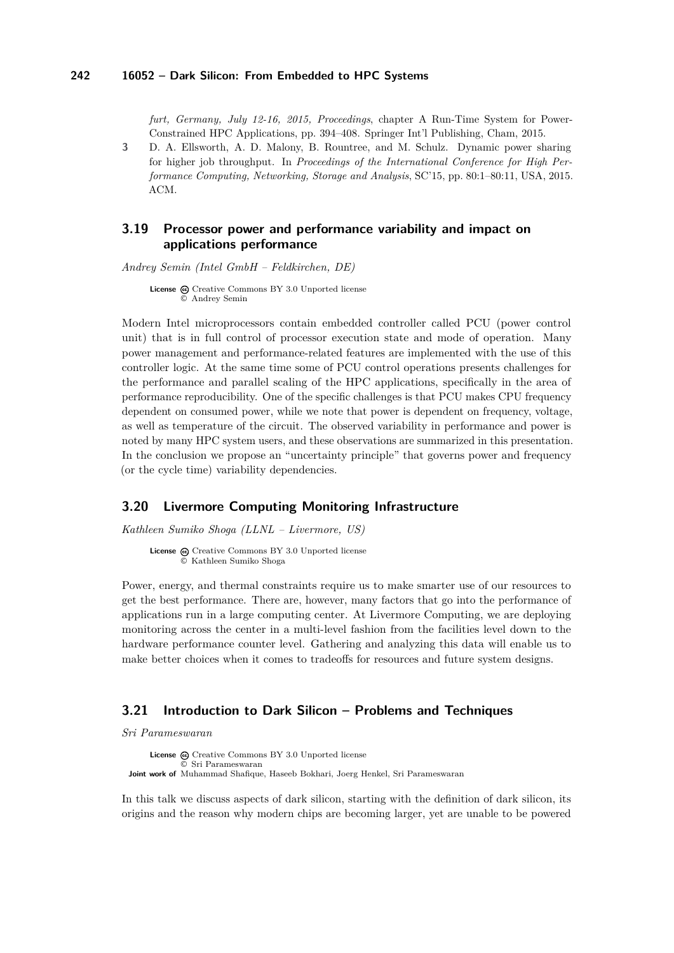*furt, Germany, July 12-16, 2015, Proceedings*, chapter A Run-Time System for Power-Constrained HPC Applications, pp. 394–408. Springer Int'l Publishing, Cham, 2015.

<span id="page-18-3"></span>**3** D. A. Ellsworth, A. D. Malony, B. Rountree, and M. Schulz. Dynamic power sharing for higher job throughput. In *Proceedings of the International Conference for High Performance Computing, Networking, Storage and Analysis*, SC'15, pp. 80:1–80:11, USA, 2015. ACM.

## <span id="page-18-0"></span>**3.19 Processor power and performance variability and impact on applications performance**

*Andrey Semin (Intel GmbH – Feldkirchen, DE)*

License  $\bigcirc$  [Creative Commons BY 3.0 Unported](http://creativecommons.org/licenses/by/3.0/) license © [Andrey Semin](#page-18-0)

Modern Intel microprocessors contain embedded controller called PCU (power control unit) that is in full control of processor execution state and mode of operation. Many power management and performance-related features are implemented with the use of this controller logic. At the same time some of PCU control operations presents challenges for the performance and parallel scaling of the HPC applications, specifically in the area of performance reproducibility. One of the specific challenges is that PCU makes CPU frequency dependent on consumed power, while we note that power is dependent on frequency, voltage, as well as temperature of the circuit. The observed variability in performance and power is noted by many HPC system users, and these observations are summarized in this presentation. In the conclusion we propose an "uncertainty principle" that governs power and frequency (or the cycle time) variability dependencies.

### <span id="page-18-1"></span>**3.20 Livermore Computing Monitoring Infrastructure**

*Kathleen Sumiko Shoga (LLNL – Livermore, US)*

License  $\odot$  [Creative Commons BY 3.0 Unported](http://creativecommons.org/licenses/by/3.0/) license © [Kathleen Sumiko Shoga](#page-18-1)

Power, energy, and thermal constraints require us to make smarter use of our resources to get the best performance. There are, however, many factors that go into the performance of applications run in a large computing center. At Livermore Computing, we are deploying monitoring across the center in a multi-level fashion from the facilities level down to the hardware performance counter level. Gathering and analyzing this data will enable us to make better choices when it comes to tradeoffs for resources and future system designs.

### <span id="page-18-2"></span>**3.21 Introduction to Dark Silicon – Problems and Techniques**

*Sri Parameswaran*

License  $\textcircled{c}$  [Creative Commons BY 3.0 Unported](http://creativecommons.org/licenses/by/3.0/) license © [Sri Parameswaran](#page-18-2) **Joint work of** Muhammad Shafique, Haseeb Bokhari, Joerg Henkel, Sri Parameswaran

In this talk we discuss aspects of dark silicon, starting with the definition of dark silicon, its origins and the reason why modern chips are becoming larger, yet are unable to be powered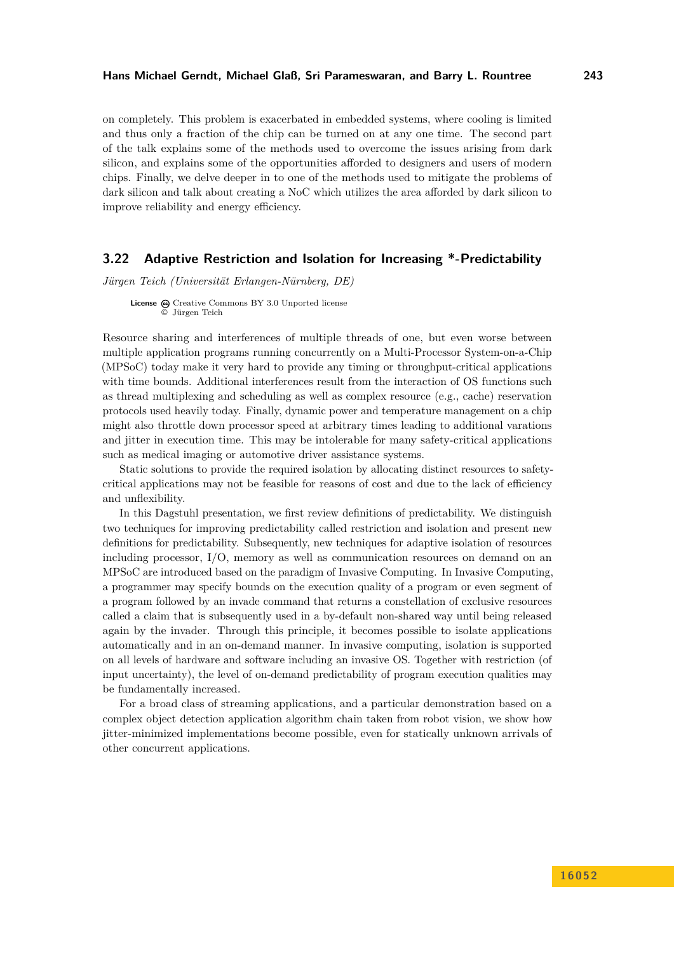on completely. This problem is exacerbated in embedded systems, where cooling is limited and thus only a fraction of the chip can be turned on at any one time. The second part of the talk explains some of the methods used to overcome the issues arising from dark silicon, and explains some of the opportunities afforded to designers and users of modern chips. Finally, we delve deeper in to one of the methods used to mitigate the problems of dark silicon and talk about creating a NoC which utilizes the area afforded by dark silicon to improve reliability and energy efficiency.

### <span id="page-19-0"></span>**3.22 Adaptive Restriction and Isolation for Increasing \*-Predictability**

*Jürgen Teich (Universität Erlangen-Nürnberg, DE)*

**License**  $\odot$  [Creative Commons BY 3.0 Unported](http://creativecommons.org/licenses/by/3.0/) license © [Jürgen Teich](#page-19-0)

Resource sharing and interferences of multiple threads of one, but even worse between multiple application programs running concurrently on a Multi-Processor System-on-a-Chip (MPSoC) today make it very hard to provide any timing or throughput-critical applications with time bounds. Additional interferences result from the interaction of OS functions such as thread multiplexing and scheduling as well as complex resource (e.g., cache) reservation protocols used heavily today. Finally, dynamic power and temperature management on a chip might also throttle down processor speed at arbitrary times leading to additional varations and jitter in execution time. This may be intolerable for many safety-critical applications such as medical imaging or automotive driver assistance systems.

Static solutions to provide the required isolation by allocating distinct resources to safetycritical applications may not be feasible for reasons of cost and due to the lack of efficiency and unflexibility.

In this Dagstuhl presentation, we first review definitions of predictability. We distinguish two techniques for improving predictability called restriction and isolation and present new definitions for predictability. Subsequently, new techniques for adaptive isolation of resources including processor, I/O, memory as well as communication resources on demand on an MPSoC are introduced based on the paradigm of Invasive Computing. In Invasive Computing, a programmer may specify bounds on the execution quality of a program or even segment of a program followed by an invade command that returns a constellation of exclusive resources called a claim that is subsequently used in a by-default non-shared way until being released again by the invader. Through this principle, it becomes possible to isolate applications automatically and in an on-demand manner. In invasive computing, isolation is supported on all levels of hardware and software including an invasive OS. Together with restriction (of input uncertainty), the level of on-demand predictability of program execution qualities may be fundamentally increased.

For a broad class of streaming applications, and a particular demonstration based on a complex object detection application algorithm chain taken from robot vision, we show how jitter-minimized implementations become possible, even for statically unknown arrivals of other concurrent applications.